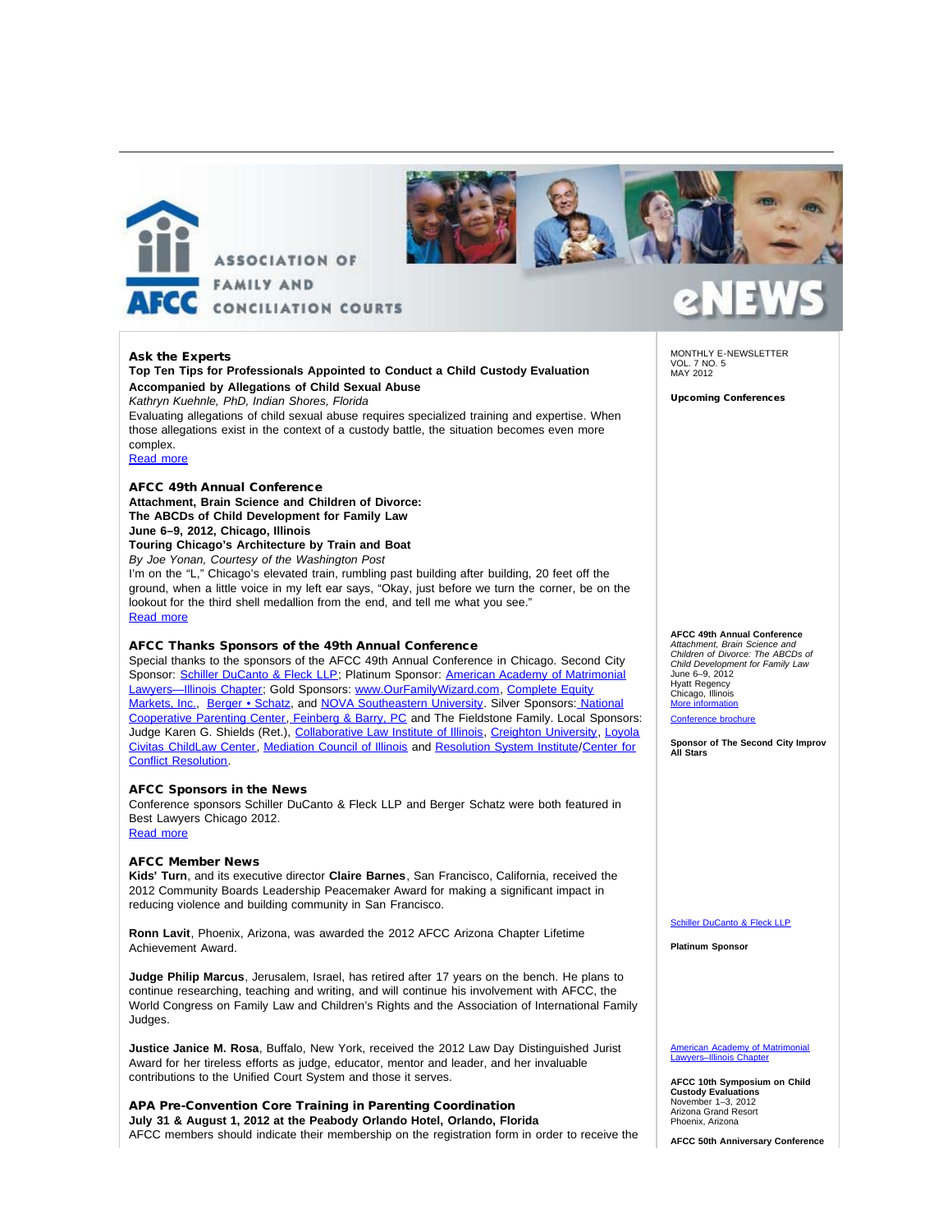



#### Ask the Experts

**Top Ten Tips for Professionals Appointed to Conduct a Child Custody Evaluation Accompanied by Allegations of Child Sexual Abuse** *Kathryn Kuehnle, PhD, Indian Shores, Florida* Evaluating allegations of child sexual abuse requires specialized training and expertise. When those allegations exist in the context of a custody battle, the situation becomes even more complex.

[Read more](http://afcc.networkats.com/members_online/utilities/emailct.asp?97abc94dd4bf37308cf440bb25ca7723f284eced)

#### AFCC 49th Annual Conference **Attachment, Brain Science and Children of Divorce:**

### **The ABCDs of Child Development for Family Law**

#### **June 6–9, 2012, Chicago, Illinois**

#### **Touring Chicago's Architecture by Train and Boat**

*By Joe Yonan, Courtesy of the Washington Post*

I'm on the "L," Chicago's elevated train, rumbling past building after building, 20 feet off the ground, when a little voice in my left ear says, "Okay, just before we turn the corner, be on the lookout for the third shell medallion from the end, and tell me what you see." [Read more](http://afcc.networkats.com/members_online/utilities/emailct.asp?22b4cad30d9e9658d4ec03b744b47d1d3543dbc9)

#### AFCC Thanks Sponsors of the 49th Annual Conference

Special thanks to the sponsors of the AFCC 49th Annual Conference in Chicago. Second City Sponsor: [Schiller DuCanto & Fleck LLP;](http://afcc.networkats.com/members_online/utilities/emailct.asp?f60f18b943ce2adad56dc905e51a5dc26daaedc1) Platinum Sponsor: [American Academy of Matrimonial](http://afcc.networkats.com/members_online/utilities/emailct.asp?7810548f99140ead3641c9fc18712ca0355e3a10) Lawyers-Illinois Chapter; Gold Sponsors: [www.OurFamilyWizard.com,](http://afcc.networkats.com/members_online/utilities/emailct.asp?a0b96ae3653349b237d72bd2d13b528454bb534e) [Complete Equity](http://afcc.networkats.com/members_online/utilities/emailct.asp?7c15068d2b5a5738f8ab2287d35dd7231baa6c34) [Markets, Inc.](http://afcc.networkats.com/members_online/utilities/emailct.asp?7c15068d2b5a5738f8ab2287d35dd7231baa6c34), [Berger • Schatz,](http://afcc.networkats.com/members_online/utilities/emailct.asp?73225c0b087295d8ad1e34c1317cc5a512c30652) and [NOVA Southeastern University.](http://afcc.networkats.com/members_online/utilities/emailct.asp?fb7f35d8989f96815ef6e6694ab1ef4c9c2d152d) Silver Sponsors[: National](http://afcc.networkats.com/members_online/utilities/emailct.asp?2fdef057757c1d9bfbb8b6b0f48de68235d35a77) [Cooperative Parenting Center](http://afcc.networkats.com/members_online/utilities/emailct.asp?2fdef057757c1d9bfbb8b6b0f48de68235d35a77)[, Feinberg & Barry, PC](http://afcc.networkats.com/members_online/utilities/emailct.asp?d54d4b672dfc345b13bef1c588df4288294195f4) and The Fieldstone Family. Local Sponsors: Judge Karen G. Shields (Ret.), [Collaborative Law Institute of Illinois](http://afcc.networkats.com/members_online/utilities/emailct.asp?d46bc3bc9e7f5a69e365b9616a3e0a585a1e013b), [Creighton University,](http://afcc.networkats.com/members_online/utilities/emailct.asp?b38de19f2fb5d9235077bcb93eb92db8cbc815fe) [Loyola](http://afcc.networkats.com/members_online/utilities/emailct.asp?78c7bd57c18360dad06201fd6a38583b8cf33e62) [Civitas ChildLaw Center](http://afcc.networkats.com/members_online/utilities/emailct.asp?78c7bd57c18360dad06201fd6a38583b8cf33e62), [Mediation Council of Illinois](http://afcc.networkats.com/members_online/utilities/emailct.asp?795d99cd74279e3e9c592d0a8288a76b7c735808) and [Resolution System Institute](http://afcc.networkats.com/members_online/utilities/emailct.asp?6a7b7dad9692fa8473714eb5c07bed53e92ddda8)/[Center for](http://afcc.networkats.com/members_online/utilities/emailct.asp?e53118683f8146e5095b5768eea9d35910c149be) [Conflict Resolution.](http://afcc.networkats.com/members_online/utilities/emailct.asp?e53118683f8146e5095b5768eea9d35910c149be)

#### AFCC Sponsors in the News

Conference sponsors Schiller DuCanto & Fleck LLP and Berger Schatz were both featured in Best Lawyers Chicago 2012. [Read more](http://afcc.networkats.com/members_online/utilities/emailct.asp?d106a92f3e2d063e90dc0577d8d50e6a038d1975)

#### AFCC Member News

**Kids' Turn**, and its executive director **Claire Barnes**, San Francisco, California, received the 2012 Community Boards Leadership Peacemaker Award for making a significant impact in reducing violence and building community in San Francisco.

**Ronn Lavit**, Phoenix, Arizona, was awarded the 2012 AFCC Arizona Chapter Lifetime Achievement Award.

**Judge Philip Marcus**, Jerusalem, Israel, has retired after 17 years on the bench. He plans to continue researching, teaching and writing, and will continue his involvement with AFCC, the World Congress on Family Law and Children's Rights and the Association of International Family Judges.

**Justice Janice M. Rosa**, Buffalo, New York, received the 2012 Law Day Distinguished Jurist Award for her tireless efforts as judge, educator, mentor and leader, and her invaluable contributions to the Unified Court System and those it serves.

APA Pre-Convention Core Training in Parenting Coordination **July 31 & August 1, 2012 at the Peabody Orlando Hotel, Orlando, Florida**  AFCC members should indicate their membership on the registration form in order to receive the MONTHLY E-NEWSLETTER VOL. 7 NO. 5 MAY 2012

Upcoming Conferences

#### **AFCC 49th Annual Conference**

*Attachment, Brain Science and Children of Divorce: The ABCDs of Child Development for Family Law* June 6–9, 2012 Hyatt Regency Chicago, Illinois [More information](http://afcc.networkats.com/members_online/utilities/emailct.asp?6f24ac64b05045517c694a48688575ad76486bac) Conference broch

**Sponsor of The Second City Improv All Stars**

#### [Schiller DuCanto & Fleck LLP](http://afcc.networkats.com/members_online/utilities/emailct.asp?f60f18b943ce2adad56dc905e51a5dc26daaedc1)

**Platinum Sponsor**

#### **American Academy of Matrimon** [Lawyers–Illinois Chapter](http://afcc.networkats.com/members_online/utilities/emailct.asp?84281db1f1abd1bf0dd84712ddcc6f647a56779b)

**AFCC 10th Symposium on Child Custody Evaluations** November 1–3, 2012 Arizona Grand Resort Phoenix, Arizona

**AFCC 50th Anniversary Conference**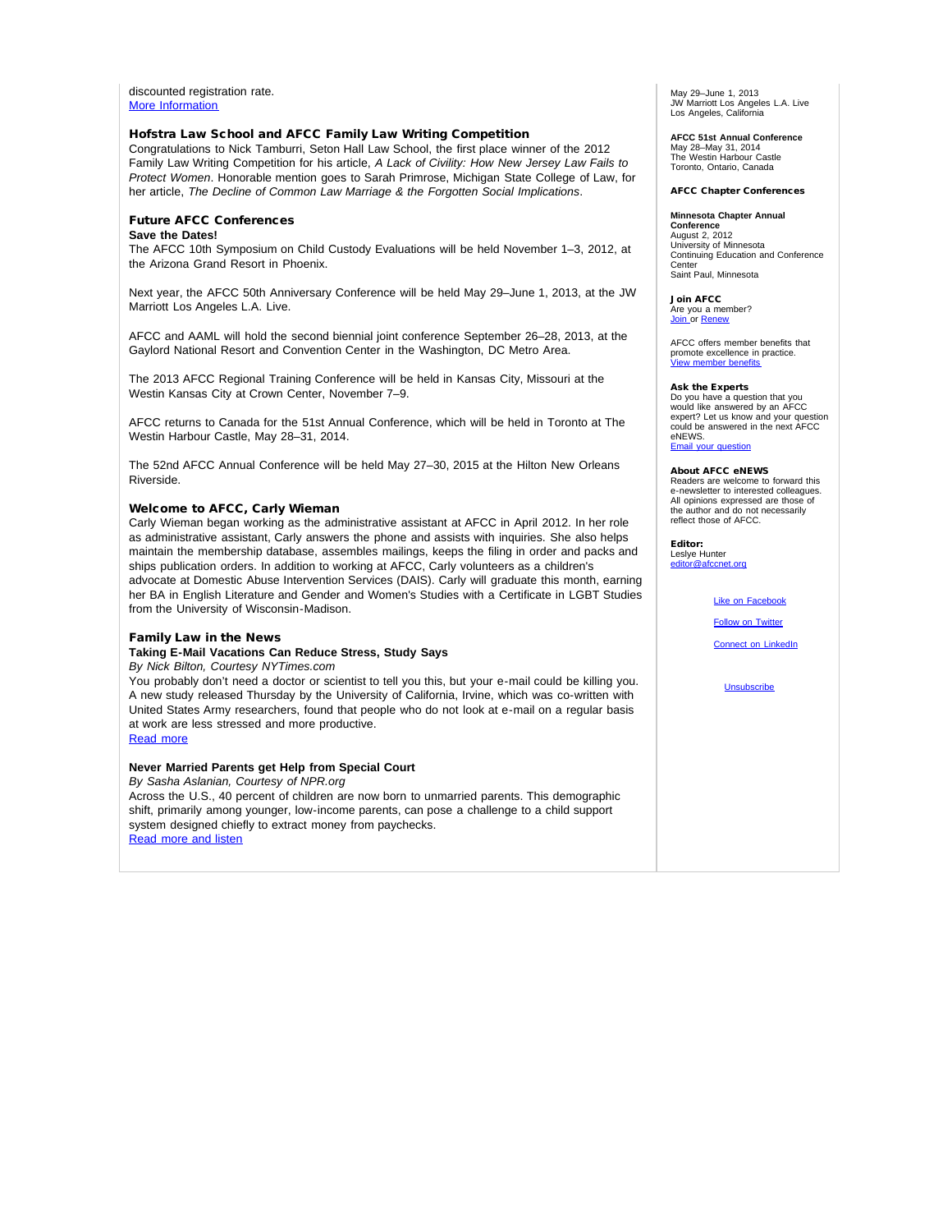discounted registration rate. [More Information](http://afcc.networkats.com/members_online/utilities/emailct.asp?ce5963106043c5fdc20f0d6a5870bcebd747c9f7)

#### Hofstra Law School and AFCC Family Law Writing Competition

Congratulations to Nick Tamburri, Seton Hall Law School, the first place winner of the 2012 Family Law Writing Competition for his article, *A Lack of Civility: How New Jersey Law Fails to Protect Women*. Honorable mention goes to Sarah Primrose, Michigan State College of Law, for her article, *The Decline of Common Law Marriage & the Forgotten Social Implications*.

#### Future AFCC Conferences

#### **Save the Dates!**

The AFCC 10th Symposium on Child Custody Evaluations will be held November 1–3, 2012, at the Arizona Grand Resort in Phoenix.

Next year, the AFCC 50th Anniversary Conference will be held May 29–June 1, 2013, at the JW Marriott Los Angeles L.A. Live.

AFCC and AAML will hold the second biennial joint conference September 26–28, 2013, at the Gaylord National Resort and Convention Center in the Washington, DC Metro Area.

The 2013 AFCC Regional Training Conference will be held in Kansas City, Missouri at the Westin Kansas City at Crown Center, November 7–9.

AFCC returns to Canada for the 51st Annual Conference, which will be held in Toronto at The Westin Harbour Castle, May 28–31, 2014.

The 52nd AFCC Annual Conference will be held May 27–30, 2015 at the Hilton New Orleans Riverside.

#### Welcome to AFCC, Carly Wieman

Carly Wieman began working as the administrative assistant at AFCC in April 2012. In her role as administrative assistant, Carly answers the phone and assists with inquiries. She also helps maintain the membership database, assembles mailings, keeps the filing in order and packs and ships publication orders. In addition to working at AFCC, Carly volunteers as a children's advocate at Domestic Abuse Intervention Services (DAIS). Carly will graduate this month, earning her BA in English Literature and Gender and Women's Studies with a Certificate in LGBT Studies from the University of Wisconsin-Madison.

#### Family Law in the News

**Taking E-Mail Vacations Can Reduce Stress, Study Says**

*By Nick Bilton, Courtesy NYTimes.com*

You probably don't need a doctor or scientist to tell you this, but your e-mail could be killing you. A new study released Thursday by the University of California, Irvine, which was co-written with United States Army researchers, found that people who do not look at e-mail on a regular basis at work are less stressed and more productive.

[Read more](http://afcc.networkats.com/members_online/utilities/emailct.asp?7757eea39e0bcbfcc0042fd21a04bbd58509bb0e)

#### **Never Married Parents get Help from Special Court**

*By Sasha Aslanian, Courtesy of NPR.org* Across the U.S., 40 percent of children are now born to unmarried parents. This demographic shift, primarily among younger, low-income parents, can pose a challenge to a child support system designed chiefly to extract money from paychecks. [Read more and listen](http://afcc.networkats.com/members_online/utilities/emailct.asp?ad198ac157ab401189a9420458050326d9dee61c)

May 29–June 1, 2013 JW Marriott Los Angeles L.A. Live Los Angeles, California

**AFCC 51st Annual Conference** May 28–May 31, 2014 The Westin Harbour Castle

Toronto, Ontario, Canada

#### AFCC Chapter Conferences

#### **Minnesota Chapter Annual**

**Conference** August 2, 2012 University of Minnesota Continuing Education and Conference Center Saint Paul, Minnesota

Join AFCC Are you a member?<br><u>[Join](http://afcc.networkats.com/members_online/utilities/emailct.asp?aab221e067c3fb5eb7cbaf1b7414d97ebe4cafcc) </u>or <u>[Renew](http://afcc.networkats.com/members_online/utilities/emailct.asp?b91eb9de0939d0abd134b2d33c4e1d77e643beb4)</u>

AFCC offers member benefits that promote excellence in practice. [View member benefits](http://afcc.networkats.com/members_online/utilities/emailct.asp?f8f631d067cfd7d9dbe47585848a2a7052f47abf)

#### Ask the Experts

Do you have a question that you would like answered by an AFCC expert? Let us know and your question could be answered in the next AFCC eNEWS. [Email your question](mailto:editor@afccnet.org)

#### About AFCC eNEWS

Readers are welcome to forward this e-newsletter to interested colleagues. All opinions expressed are those of the author and do not necessarily reflect those of AFCC.

Editor: Leslye Hunter

[editor@afccnet.org](mailto:editor@afccnet.org)

#### [Like on Facebook](http://afcc.networkats.com/members_online/utilities/emailct.asp?eff57b76ce146a73344934bd0f2c4907801a93a6)

[Follow on Twitter](http://afcc.networkats.com/members_online/utilities/emailct.asp?730be6b77a04be0abea2c0029728dfda7cf8b395)

**[Connect on LinkedIn](http://afcc.networkats.com/members_online/utilities/emailct.asp?cf83d284c5affb1dc8e4743fcb8e9f3edd49de6f)** 

[Unsubscribe](mailto:afcc@afccnet.org)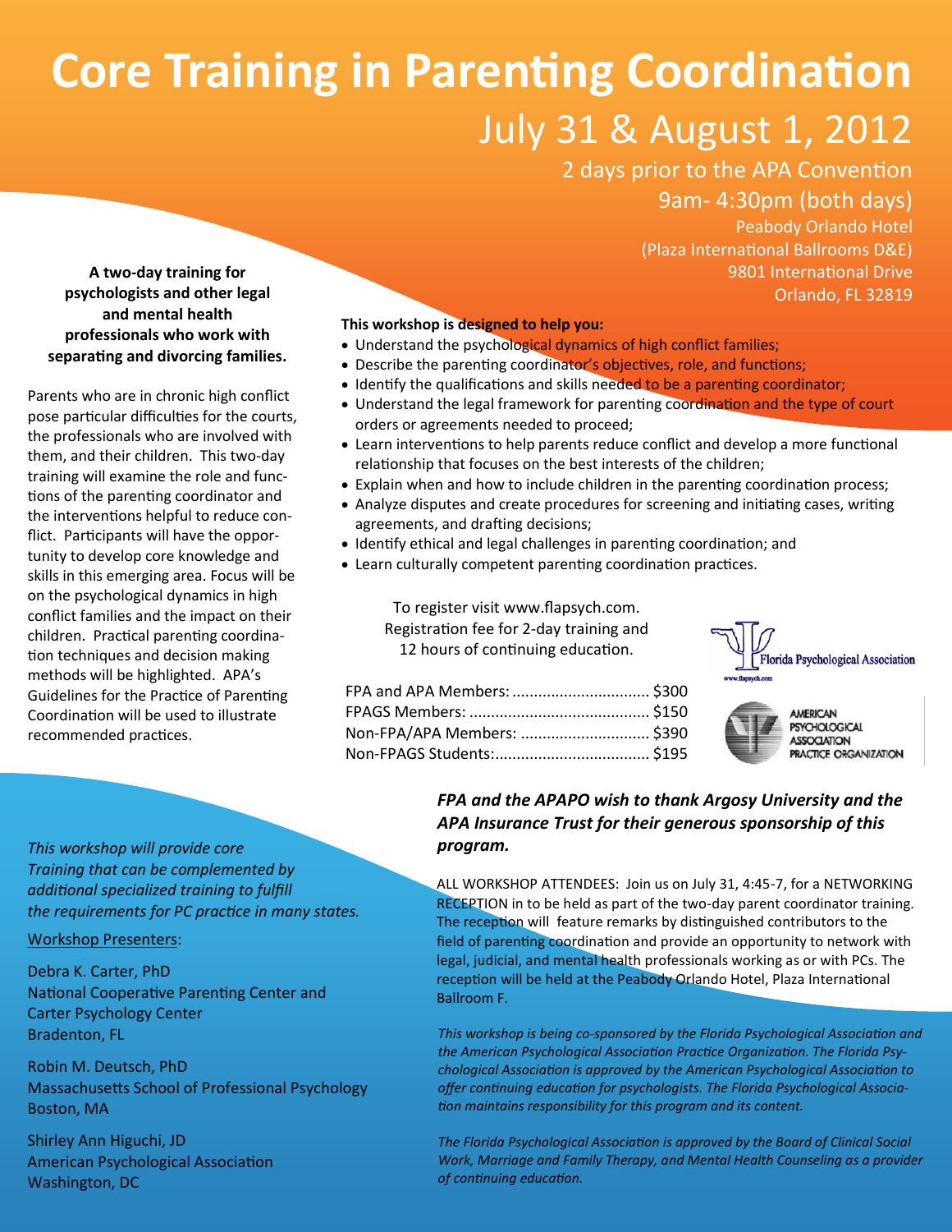## **Core Training in Parenting Coordination** July 31 & August 1, 2012

## 2 days prior to the APA Convention 9am- 4:30pm (both days)

Peabody Orlando Hotel (Plaza International Ballrooms D&E) 9801 International Drive Orlando, FL 32819

**A two-day training for psychologists and other legal and mental health professionals who work with separating and divorcing families.**

Parents who are in chronic high conflict pose particular difficulties for the courts, the professionals who are involved with them, and their children. This two-day training will examine the role and functions of the parenting coordinator and the interventions helpful to reduce conflict. Participants will have the opportunity to develop core knowledge and skills in this emerging area. Focus will be on the psychological dynamics in high conflict families and the impact on their children. Practical parenting coordination techniques and decision making methods will be highlighted. APA's Guidelines for the Practice of Parenting Coordination will be used to illustrate recommended practices.

## **This workshop is designed to help you:**

- Understand the psychological dynamics of high conflict families;
- Describe the parenting coordinator's objectives, role, and functions;
- Identify the qualifications and skills needed to be a parenting coordinator;
- Understand the legal framework for parenting coordination and the type of court orders or agreements needed to proceed;
- Learn interventions to help parents reduce conflict and develop a more functional relationship that focuses on the best interests of the children;
- Explain when and how to include children in the parenting coordination process;
- Analyze disputes and create procedures for screening and initiating cases, writing agreements, and drafting decisions;
- Identify ethical and legal challenges in parenting coordination; and
- Learn culturally competent parenting coordination practices.

To register visit [www.flapsych.com.](http://www.flapsych.com) Registration fee for 2-day training and 12 hours of continuing education.



**AMERICAN IOIOGICAL SSOCIATION** 

| FPA and APA Members:  \$300 |  |
|-----------------------------|--|
|                             |  |
| Non-FPA/APA Members:  \$390 |  |
|                             |  |

# RACTICE ORGANIZATION

*This workshop will provide core Training that can be complemented by additional specialized training to fulfill the requirements for PC practice in many states.*

Workshop Presenters:

Debra K. Carter, PhD National Cooperative Parenting Center and Carter Psychology Center Bradenton, FL

Robin M. Deutsch, PhD Massachusetts School of Professional Psychology Boston, MA

Shirley Ann Higuchi, JD American Psychological Association Washington, DC

## *FPA and the APAPO wish to thank Argosy University and the APA Insurance Trust for their generous sponsorship of this program.*

ALL WORKSHOP ATTENDEES: Join us on July 31, 4:45-7, for a NETWORKING **RECEPTION** in to be held as part of the two-day parent coordinator training. The reception will feature remarks by distinguished contributors to the field of parenting coordination and provide an opportunity to network with legal, judicial, and mental health professionals working as or with PCs. The reception will be held at the Peabody Orlando Hotel, Plaza International Ballroom F.

*This workshop is being co-sponsored by the Florida Psychological Association and the American Psychological Association Practice Organization. The Florida Psychological Association is approved by the American Psychological Association to offer continuing education for psychologists. The Florida Psychological Association maintains responsibility for this program and its content.*

*The Florida Psychological Association is approved by the Board of Clinical Social Work, Marriage and Family Therapy, and Mental Health Counseling as a provider of continuing education.*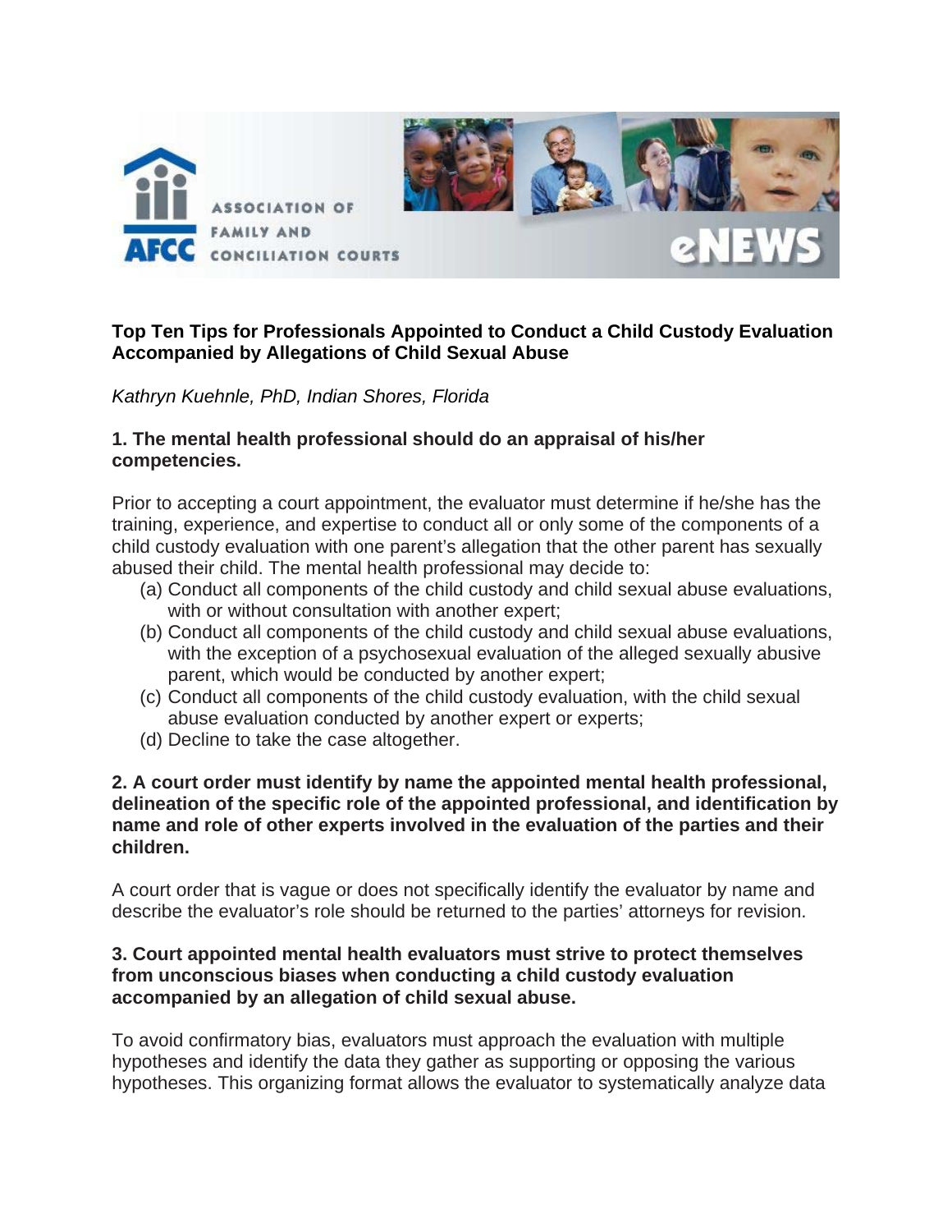

## **Top Ten Tips for Professionals Appointed to Conduct a Child Custody Evaluation Accompanied by Allegations of Child Sexual Abuse**

*Kathryn Kuehnle, PhD, Indian Shores, Florida* 

## **1. The mental health professional should do an appraisal of his/her competencies.**

Prior to accepting a court appointment, the evaluator must determine if he/she has the training, experience, and expertise to conduct all or only some of the components of a child custody evaluation with one parent's allegation that the other parent has sexually abused their child. The mental health professional may decide to:

- (a) Conduct all components of the child custody and child sexual abuse evaluations, with or without consultation with another expert;
- (b) Conduct all components of the child custody and child sexual abuse evaluations, with the exception of a psychosexual evaluation of the alleged sexually abusive parent, which would be conducted by another expert;
- (c) Conduct all components of the child custody evaluation, with the child sexual abuse evaluation conducted by another expert or experts;
- (d) Decline to take the case altogether.

## **2. A court order must identify by name the appointed mental health professional, delineation of the specific role of the appointed professional, and identification by name and role of other experts involved in the evaluation of the parties and their children.**

A court order that is vague or does not specifically identify the evaluator by name and describe the evaluator's role should be returned to the parties' attorneys for revision.

## **3. Court appointed mental health evaluators must strive to protect themselves from unconscious biases when conducting a child custody evaluation accompanied by an allegation of child sexual abuse.**

To avoid confirmatory bias, evaluators must approach the evaluation with multiple hypotheses and identify the data they gather as supporting or opposing the various hypotheses. This organizing format allows the evaluator to systematically analyze data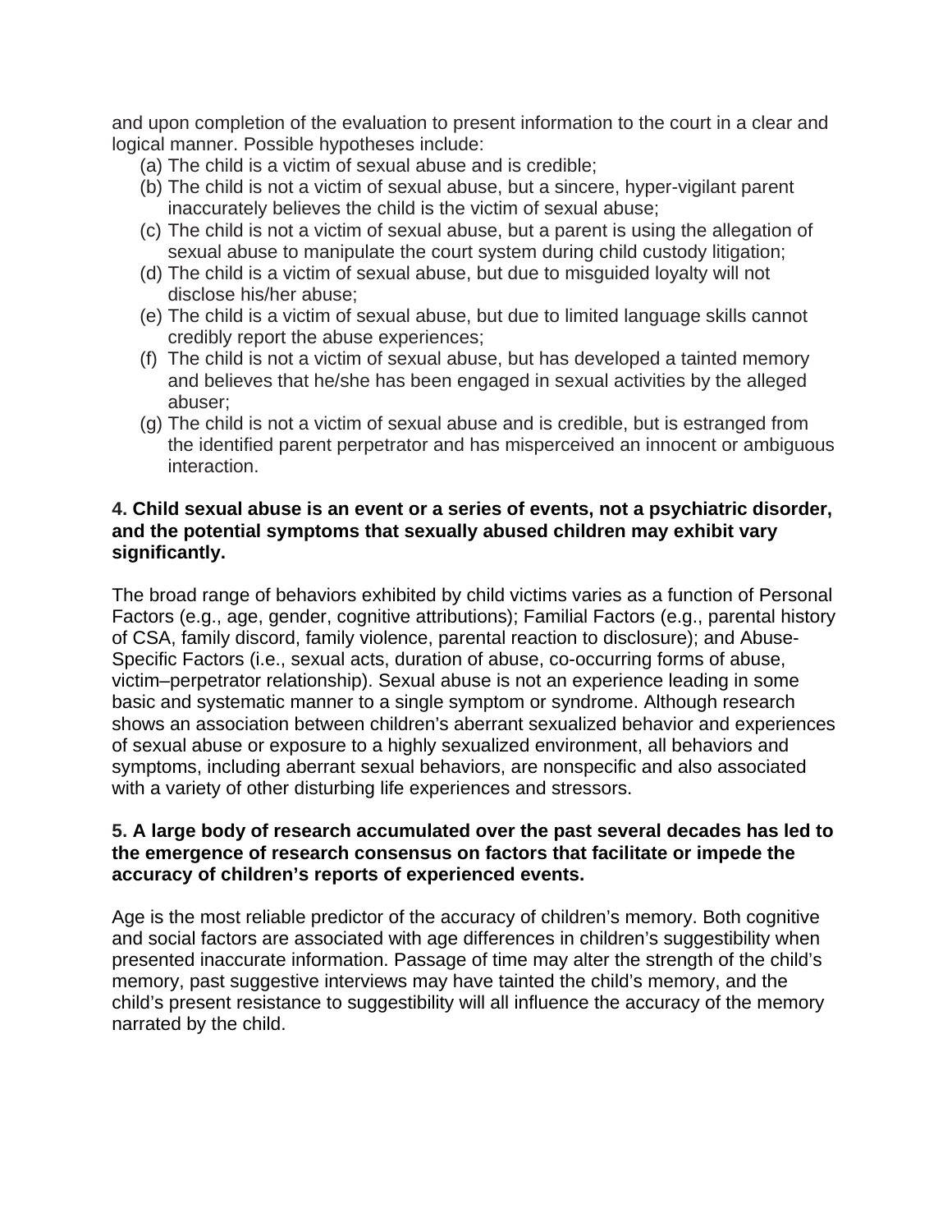and upon completion of the evaluation to present information to the court in a clear and logical manner. Possible hypotheses include:

- (a) The child is a victim of sexual abuse and is credible;
- (b) The child is not a victim of sexual abuse, but a sincere, hyper-vigilant parent inaccurately believes the child is the victim of sexual abuse;
- (c) The child is not a victim of sexual abuse, but a parent is using the allegation of sexual abuse to manipulate the court system during child custody litigation;
- (d) The child is a victim of sexual abuse, but due to misguided loyalty will not disclose his/her abuse;
- (e) The child is a victim of sexual abuse, but due to limited language skills cannot credibly report the abuse experiences;
- (f) The child is not a victim of sexual abuse, but has developed a tainted memory and believes that he/she has been engaged in sexual activities by the alleged abuser;
- (g) The child is not a victim of sexual abuse and is credible, but is estranged from the identified parent perpetrator and has misperceived an innocent or ambiguous interaction.

## **4. Child sexual abuse is an event or a series of events, not a psychiatric disorder, and the potential symptoms that sexually abused children may exhibit vary significantly.**

The broad range of behaviors exhibited by child victims varies as a function of Personal Factors (e.g., age, gender, cognitive attributions); Familial Factors (e.g., parental history of CSA, family discord, family violence, parental reaction to disclosure); and Abuse-Specific Factors (i.e., sexual acts, duration of abuse, co-occurring forms of abuse, victim–perpetrator relationship). Sexual abuse is not an experience leading in some basic and systematic manner to a single symptom or syndrome. Although research shows an association between children's aberrant sexualized behavior and experiences of sexual abuse or exposure to a highly sexualized environment, all behaviors and symptoms, including aberrant sexual behaviors, are nonspecific and also associated with a variety of other disturbing life experiences and stressors.

## **5. A large body of research accumulated over the past several decades has led to the emergence of research consensus on factors that facilitate or impede the accuracy of children's reports of experienced events.**

Age is the most reliable predictor of the accuracy of children's memory. Both cognitive and social factors are associated with age differences in children's suggestibility when presented inaccurate information. Passage of time may alter the strength of the child's memory, past suggestive interviews may have tainted the child's memory, and the child's present resistance to suggestibility will all influence the accuracy of the memory narrated by the child.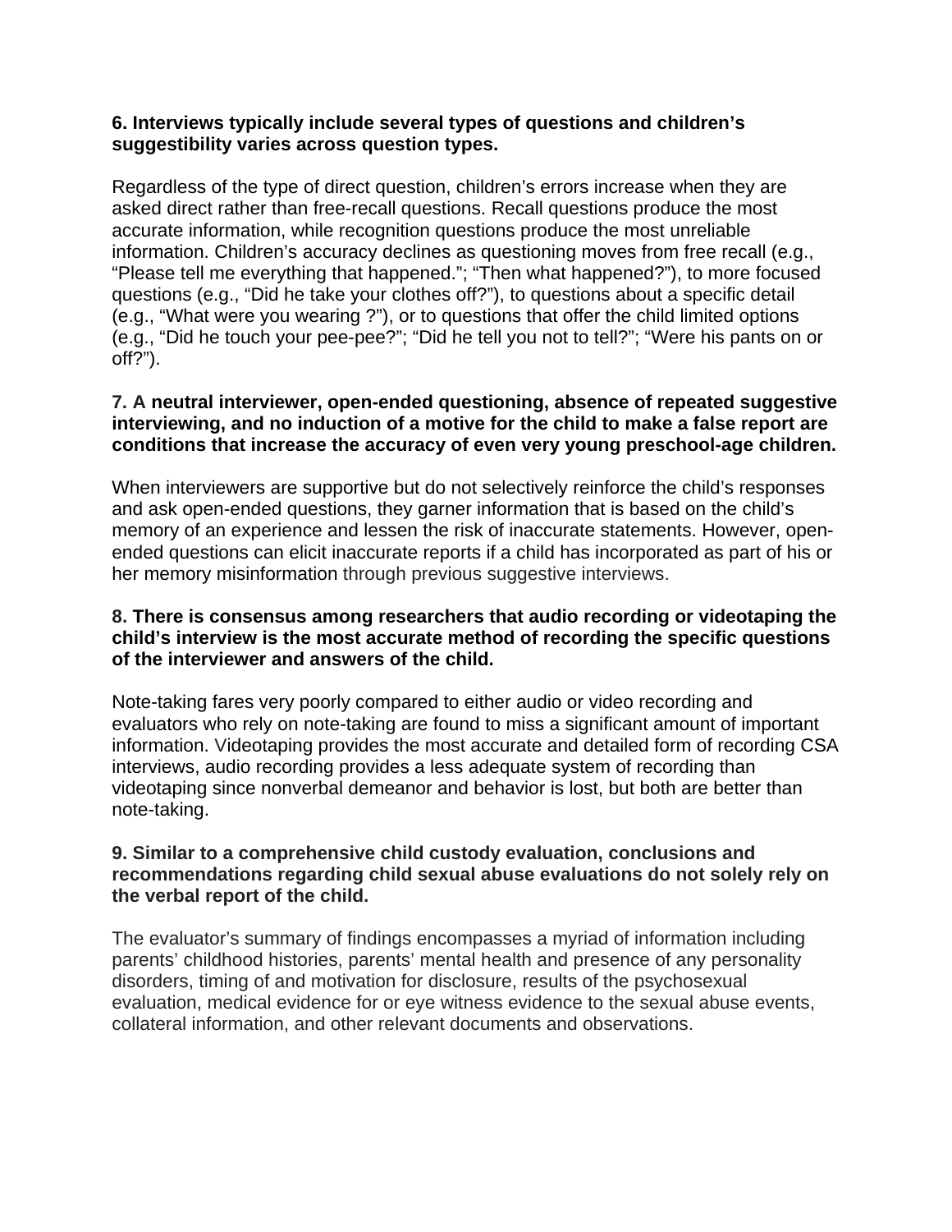## **6. Interviews typically include several types of questions and children's suggestibility varies across question types.**

Regardless of the type of direct question, children's errors increase when they are asked direct rather than free-recall questions. Recall questions produce the most accurate information, while recognition questions produce the most unreliable information. Children's accuracy declines as questioning moves from free recall (e.g., "Please tell me everything that happened."; "Then what happened?"), to more focused questions (e.g., "Did he take your clothes off?"), to questions about a specific detail (e.g., "What were you wearing ?"), or to questions that offer the child limited options (e.g., "Did he touch your pee-pee?"; "Did he tell you not to tell?"; "Were his pants on or off?").

## **7. A neutral interviewer, open-ended questioning, absence of repeated suggestive interviewing, and no induction of a motive for the child to make a false report are conditions that increase the accuracy of even very young preschool-age children.**

When interviewers are supportive but do not selectively reinforce the child's responses and ask open-ended questions, they garner information that is based on the child's memory of an experience and lessen the risk of inaccurate statements. However, openended questions can elicit inaccurate reports if a child has incorporated as part of his or her memory misinformation through previous suggestive interviews.

## **8. There is consensus among researchers that audio recording or videotaping the child's interview is the most accurate method of recording the specific questions of the interviewer and answers of the child.**

Note-taking fares very poorly compared to either audio or video recording and evaluators who rely on note-taking are found to miss a significant amount of important information. Videotaping provides the most accurate and detailed form of recording CSA interviews, audio recording provides a less adequate system of recording than videotaping since nonverbal demeanor and behavior is lost, but both are better than note-taking.

## **9. Similar to a comprehensive child custody evaluation, conclusions and recommendations regarding child sexual abuse evaluations do not solely rely on the verbal report of the child.**

The evaluator's summary of findings encompasses a myriad of information including parents' childhood histories, parents' mental health and presence of any personality disorders, timing of and motivation for disclosure, results of the psychosexual evaluation, medical evidence for or eye witness evidence to the sexual abuse events, collateral information, and other relevant documents and observations.